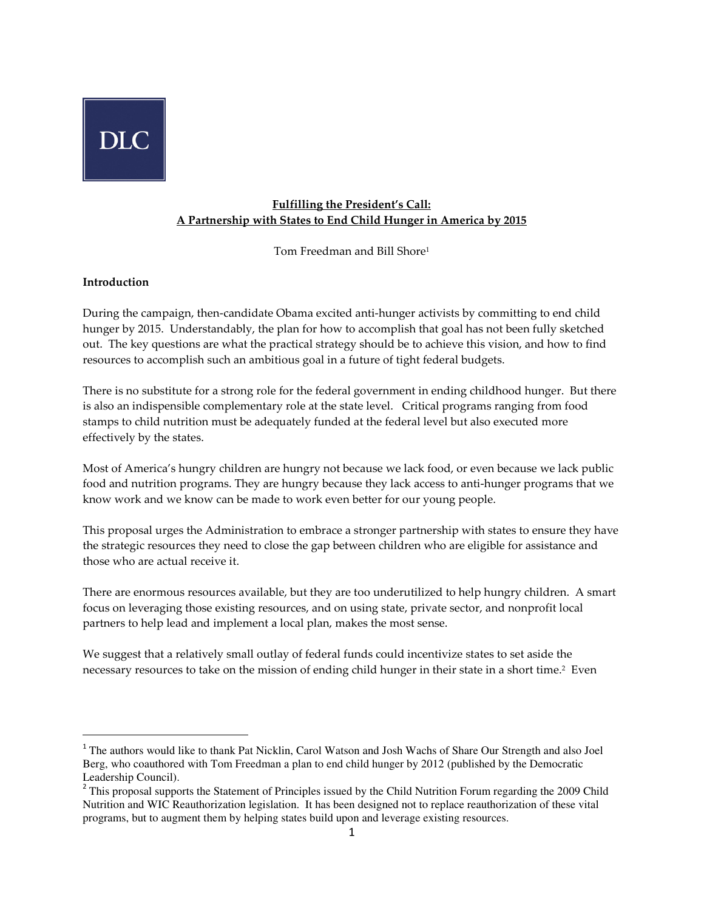

# Fulfilling the President's Call: A Partnership with States to End Child Hunger in America by 2015

Tom Freedman and Bill Shore<sup>1</sup>

#### Introduction

 $\overline{a}$ 

During the campaign, then-candidate Obama excited anti-hunger activists by committing to end child hunger by 2015. Understandably, the plan for how to accomplish that goal has not been fully sketched out. The key questions are what the practical strategy should be to achieve this vision, and how to find resources to accomplish such an ambitious goal in a future of tight federal budgets.

There is no substitute for a strong role for the federal government in ending childhood hunger. But there is also an indispensible complementary role at the state level. Critical programs ranging from food stamps to child nutrition must be adequately funded at the federal level but also executed more effectively by the states.

Most of America's hungry children are hungry not because we lack food, or even because we lack public food and nutrition programs. They are hungry because they lack access to anti-hunger programs that we know work and we know can be made to work even better for our young people.

This proposal urges the Administration to embrace a stronger partnership with states to ensure they have the strategic resources they need to close the gap between children who are eligible for assistance and those who are actual receive it.

There are enormous resources available, but they are too underutilized to help hungry children. A smart focus on leveraging those existing resources, and on using state, private sector, and nonprofit local partners to help lead and implement a local plan, makes the most sense.

We suggest that a relatively small outlay of federal funds could incentivize states to set aside the necessary resources to take on the mission of ending child hunger in their state in a short time.<sup>2</sup> Even

<sup>&</sup>lt;sup>1</sup> The authors would like to thank Pat Nicklin, Carol Watson and Josh Wachs of Share Our Strength and also Joel Berg, who coauthored with Tom Freedman a plan to end child hunger by 2012 (published by the Democratic Leadership Council).

<sup>&</sup>lt;sup>2</sup> This proposal supports the Statement of Principles issued by the Child Nutrition Forum regarding the 2009 Child Nutrition and WIC Reauthorization legislation. It has been designed not to replace reauthorization of these vital programs, but to augment them by helping states build upon and leverage existing resources.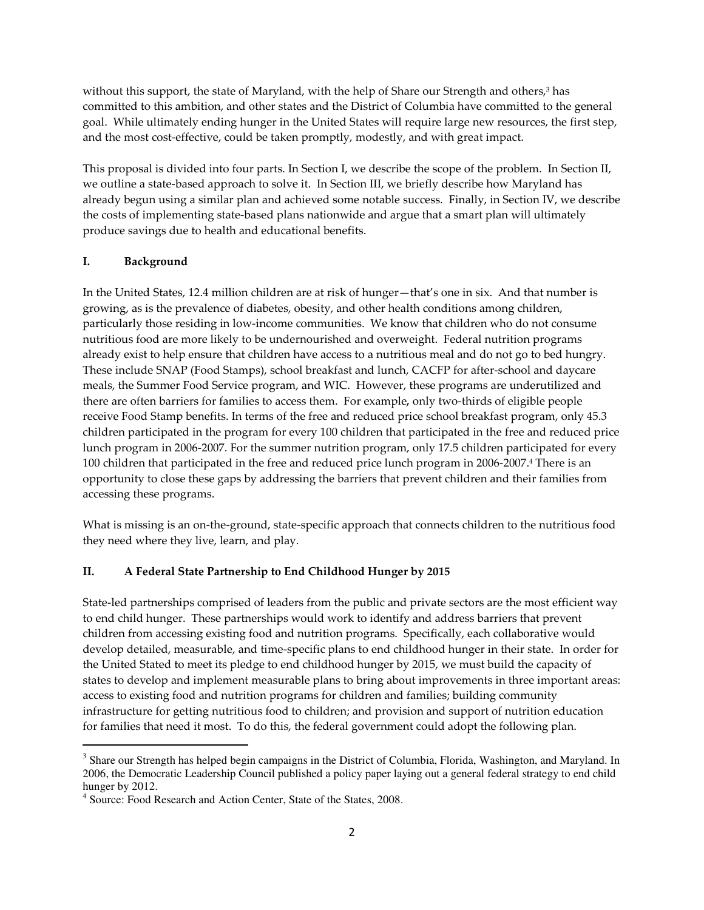without this support, the state of Maryland, with the help of Share our Strength and others,<sup>3</sup> has committed to this ambition, and other states and the District of Columbia have committed to the general goal. While ultimately ending hunger in the United States will require large new resources, the first step, and the most cost-effective, could be taken promptly, modestly, and with great impact.

This proposal is divided into four parts. In Section I, we describe the scope of the problem. In Section II, we outline a state-based approach to solve it. In Section III, we briefly describe how Maryland has already begun using a similar plan and achieved some notable success. Finally, in Section IV, we describe the costs of implementing state-based plans nationwide and argue that a smart plan will ultimately produce savings due to health and educational benefits.

## I. Background

 $\overline{a}$ 

In the United States, 12.4 million children are at risk of hunger—that's one in six. And that number is growing, as is the prevalence of diabetes, obesity, and other health conditions among children, particularly those residing in low-income communities. We know that children who do not consume nutritious food are more likely to be undernourished and overweight. Federal nutrition programs already exist to help ensure that children have access to a nutritious meal and do not go to bed hungry. These include SNAP (Food Stamps), school breakfast and lunch, CACFP for after-school and daycare meals, the Summer Food Service program, and WIC. However, these programs are underutilized and there are often barriers for families to access them. For example, only two-thirds of eligible people receive Food Stamp benefits. In terms of the free and reduced price school breakfast program, only 45.3 children participated in the program for every 100 children that participated in the free and reduced price lunch program in 2006-2007. For the summer nutrition program, only 17.5 children participated for every 100 children that participated in the free and reduced price lunch program in 2006-2007.<sup>4</sup> There is an opportunity to close these gaps by addressing the barriers that prevent children and their families from accessing these programs.

What is missing is an on-the-ground, state-specific approach that connects children to the nutritious food they need where they live, learn, and play.

#### II. A Federal State Partnership to End Childhood Hunger by 2015

State-led partnerships comprised of leaders from the public and private sectors are the most efficient way to end child hunger. These partnerships would work to identify and address barriers that prevent children from accessing existing food and nutrition programs. Specifically, each collaborative would develop detailed, measurable, and time-specific plans to end childhood hunger in their state. In order for the United Stated to meet its pledge to end childhood hunger by 2015, we must build the capacity of states to develop and implement measurable plans to bring about improvements in three important areas: access to existing food and nutrition programs for children and families; building community infrastructure for getting nutritious food to children; and provision and support of nutrition education for families that need it most. To do this, the federal government could adopt the following plan.

<sup>&</sup>lt;sup>3</sup> Share our Strength has helped begin campaigns in the District of Columbia, Florida, Washington, and Maryland. In 2006, the Democratic Leadership Council published a policy paper laying out a general federal strategy to end child hunger by 2012.

<sup>4</sup> Source: Food Research and Action Center, State of the States, 2008.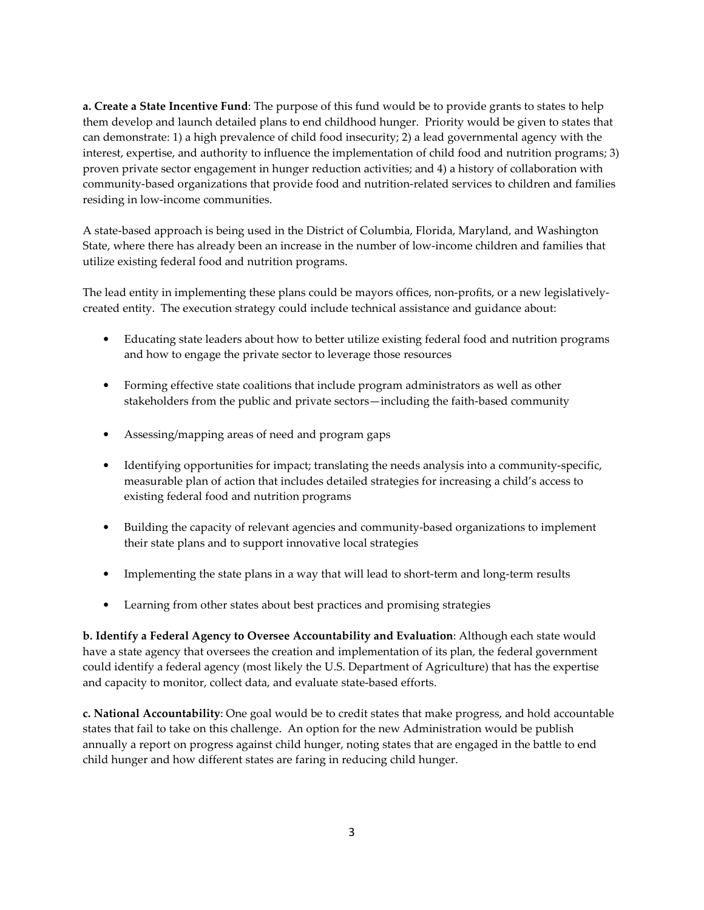a. Create a State Incentive Fund: The purpose of this fund would be to provide grants to states to help them develop and launch detailed plans to end childhood hunger. Priority would be given to states that can demonstrate: 1) a high prevalence of child food insecurity; 2) a lead governmental agency with the interest, expertise, and authority to influence the implementation of child food and nutrition programs; 3) proven private sector engagement in hunger reduction activities; and 4) a history of collaboration with community-based organizations that provide food and nutrition-related services to children and families residing in low-income communities.

A state-based approach is being used in the District of Columbia, Florida, Maryland, and Washington State, where there has already been an increase in the number of low-income children and families that utilize existing federal food and nutrition programs.

The lead entity in implementing these plans could be mayors offices, non-profits, or a new legislativelycreated entity. The execution strategy could include technical assistance and guidance about:

- Educating state leaders about how to better utilize existing federal food and nutrition programs and how to engage the private sector to leverage those resources
- Forming effective state coalitions that include program administrators as well as other stakeholders from the public and private sectors—including the faith-based community
- Assessing/mapping areas of need and program gaps
- Identifying opportunities for impact; translating the needs analysis into a community-specific, measurable plan of action that includes detailed strategies for increasing a child's access to existing federal food and nutrition programs
- Building the capacity of relevant agencies and community-based organizations to implement their state plans and to support innovative local strategies
- Implementing the state plans in a way that will lead to short-term and long-term results
- Learning from other states about best practices and promising strategies

b. Identify a Federal Agency to Oversee Accountability and Evaluation: Although each state would have a state agency that oversees the creation and implementation of its plan, the federal government could identify a federal agency (most likely the U.S. Department of Agriculture) that has the expertise and capacity to monitor, collect data, and evaluate state-based efforts.

c. National Accountability: One goal would be to credit states that make progress, and hold accountable states that fail to take on this challenge. An option for the new Administration would be publish annually a report on progress against child hunger, noting states that are engaged in the battle to end child hunger and how different states are faring in reducing child hunger.